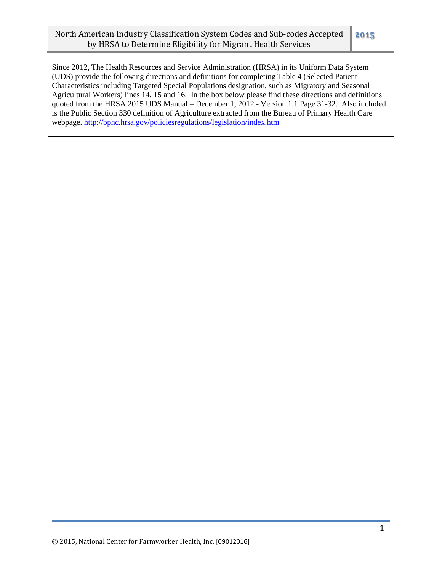Since 2012, The Health Resources and Service Administration (HRSA) in its Uniform Data System (UDS) provide the following directions and definitions for completing Table 4 (Selected Patient Characteristics including Targeted Special Populations designation, such as Migratory and Seasonal Agricultural Workers) lines 14, 15 and 16. In the box below please find these directions and definitions quoted from the HRSA 2015 UDS Manual – December 1, 2012 - Version 1.1 Page 31-32. Also included is the Public Section 330 definition of Agriculture extracted from the Bureau of Primary Health Care webpage. [http://bphc.hrsa.gov/policiesregulations/legislation/index.htm](http://bphc.hrsa.gov/policiesregulations/legislation/index.html)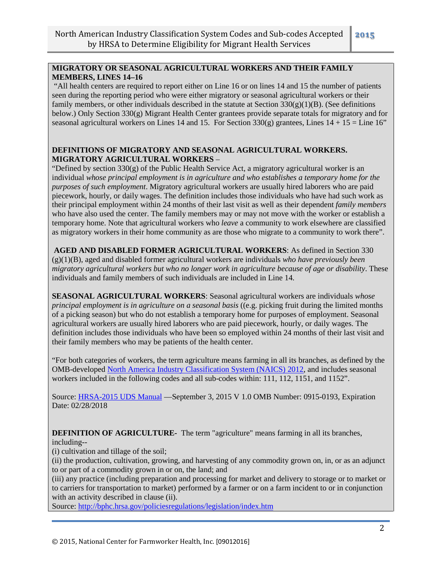# **MIGRATORY OR SEASONAL AGRICULTURAL WORKERS AND THEIR FAMILY MEMBERS, LINES 14–16**

"All health centers are required to report either on Line 16 or on lines 14 and 15 the number of patients seen during the reporting period who were either migratory or seasonal agricultural workers or their family members, or other individuals described in the statute at Section  $330(g)(1)(B)$ . (See definitions below.) Only Section 330(g) Migrant Health Center grantees provide separate totals for migratory and for seasonal agricultural workers on Lines 14 and 15. For Section 330(g) grantees, Lines  $14 + 15 =$  Line 16"

## **DEFINITIONS OF MIGRATORY AND SEASONAL AGRICULTURAL WORKERS. MIGRATORY AGRICULTURAL WORKERS** –

"Defined by section 330(g) of the Public Health Service Act, a migratory agricultural worker is an individual *whose principal employment is in agriculture and who establishes a temporary home for the purposes of such employment*. Migratory agricultural workers are usually hired laborers who are paid piecework, hourly, or daily wages. The definition includes those individuals who have had such work as their principal employment within 24 months of their last visit as well as their dependent *family members* who have also used the center. The family members may or may not move with the worker or establish a temporary home. Note that agricultural workers who *leave* a community to work elsewhere are classified as migratory workers in their home community as are those who migrate to a community to work there".

**AGED AND DISABLED FORMER AGRICULTURAL WORKERS**: As defined in Section 330 (g)(1)(B), aged and disabled former agricultural workers are individuals *who have previously been migratory agricultural workers but who no longer work in agriculture because of age or disability*. These individuals and family members of such individuals are included in Line 14.

**SEASONAL AGRICULTURAL WORKERS**: Seasonal agricultural workers are individuals *whose principal employment is in agriculture on a seasonal basis* ((e.g. picking fruit during the limited months of a picking season) but who do not establish a temporary home for purposes of employment. Seasonal agricultural workers are usually hired laborers who are paid piecework, hourly, or daily wages. The definition includes those individuals who have been so employed within 24 months of their last visit and their family members who may be patients of the health center.

"For both categories of workers, the term agriculture means farming in all its branches, as defined by the OMB-develope[d North America Industry Classification System \(NAICS\) 2012,](http://www.census.gov/cgi-bin/sssd/naics/naicsrch?chart=2012) and includes seasonal workers included in the following codes and all sub-codes within: 111, 112, 1151, and 1152".

Source: [HRSA-2015 UDS Manual](http://bphc.hrsa.gov/datareporting/reporting/2015udsmanual.pdf) —September 3, 2015 V 1.0 OMB Number: 0915-0193, Expiration Date: 02/28/2018

**DEFINITION OF AGRICULTURE-** The term "agriculture" means farming in all its branches, including--

(i) cultivation and tillage of the soil;

(ii) the production, cultivation, growing, and harvesting of any commodity grown on, in, or as an adjunct to or part of a commodity grown in or on, the land; and

(iii) any practice (including preparation and processing for market and delivery to storage or to market or to carriers for transportation to market) performed by a farmer or on a farm incident to or in conjunction with an activity described in clause (ii).

Source: [http://bphc.hrsa.gov/policiesregulations/legislation/index.htm](http://bphc.hrsa.gov/policiesregulations/legislation/index.html)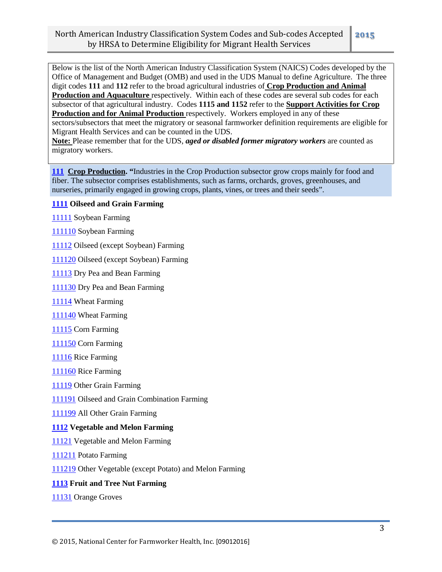Below is the list of the North American Industry Classification System (NAICS) Codes developed by the Office of Management and Budget (OMB) and used in the UDS Manual to define Agriculture. The three digit codes **111** and **112** refer to the broad agricultural industries of **Crop Production and Animal Production and Aquaculture** respectively. Within each of these codes are several sub codes for each subsector of that agricultural industry. Codes **1115 and 1152** refer to the **Support Activities for Crop Production and for Animal Production** respectively. Workers employed in any of these sectors/subsectors that meet the migratory or seasonal farmworker definition requirements are eligible for Migrant Health Services and can be counted in the UDS.

**Note:** Please remember that for the UDS, *aged or disabled former migratory workers* are counted as migratory workers.

 **Crop Production. "**Industries in the Crop Production subsector grow crops mainly for food and fiber. The subsector comprises establishments, such as farms, orchards, groves, greenhouses, and nurseries, primarily engaged in growing crops, plants, vines, or trees and their seeds".

### **Oilseed and Grain Farming**

Soybean Farming

Soybean Farming

Oilseed (except Soybean) Farming

Oilseed (except Soybean) Farming

Dry Pea and Bean Farming

Dry Pea and Bean Farming

Wheat Farming

Wheat Farming

Corn Farming

Corn Farming

Rice Farming

Rice Farming

Other Grain Farming

Oilseed and Grain Combination Farming

All Other Grain Farming

#### **Vegetable and Melon Farming**

Vegetable and Melon Farming

Potato Farming

Other Vegetable (except Potato) and Melon Farming

#### **Fruit and Tree Nut Farming**

Orange Groves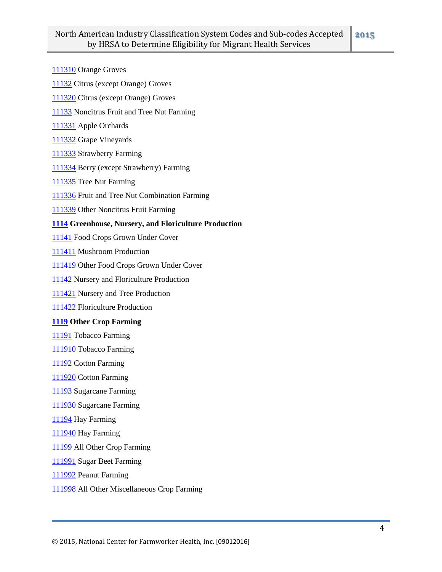- Orange Groves
- Citrus (except Orange) Groves
- Citrus (except Orange) Groves
- Noncitrus Fruit and Tree Nut Farming
- Apple Orchards
- Grape Vineyards
- Strawberry Farming
- Berry (except Strawberry) Farming
- Tree Nut Farming
- Fruit and Tree Nut Combination Farming
- Other Noncitrus Fruit Farming

## **Greenhouse, Nursery, and Floriculture Production**

- Food Crops Grown Under Cover
- Mushroom Production
- Other Food Crops Grown Under Cover
- Nursery and Floriculture Production
- Nursery and Tree Production
- Floriculture Production

### **Other Crop Farming**

- Tobacco Farming
- Tobacco Farming
- Cotton Farming
- Cotton Farming
- Sugarcane Farming
- Sugarcane Farming
- Hay Farming
- Hay Farming
- All Other Crop Farming
- Sugar Beet Farming
- Peanut Farming
- All Other Miscellaneous Crop Farming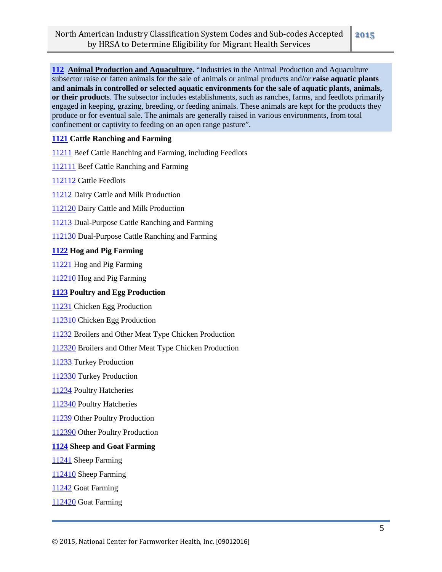**Animal Production and Aquaculture.** "Industries in the Animal Production and Aquaculture subsector raise or fatten animals for the sale of animals or animal products and/or **raise aquatic plants and animals in controlled or selected aquatic environments for the sale of aquatic plants, animals, or their product**s. The subsector includes establishments, such as ranches, farms, and feedlots primarily engaged in keeping, grazing, breeding, or feeding animals. These animals are kept for the products they produce or for eventual sale. The animals are generally raised in various environments, from total confinement or captivity to feeding on an open range pasture".

## **Cattle Ranching and Farming**

Beef Cattle Ranching and Farming, including Feedlots

Beef Cattle Ranching and Farming

Cattle Feedlots

Dairy Cattle and Milk Production

Dairy Cattle and Milk Production

Dual-Purpose Cattle Ranching and Farming

Dual-Purpose Cattle Ranching and Farming

### **Hog and Pig Farming**

Hog and Pig Farming

Hog and Pig Farming

### **Poultry and Egg Production**

Chicken Egg Production

Chicken Egg Production

Broilers and Other Meat Type Chicken Production

Broilers and Other Meat Type Chicken Production

Turkey Production

Turkey Production

Poultry Hatcheries

Poultry Hatcheries

Other Poultry Production

Other Poultry Production

#### **Sheep and Goat Farming**

Sheep Farming

Sheep Farming

Goat Farming

Goat Farming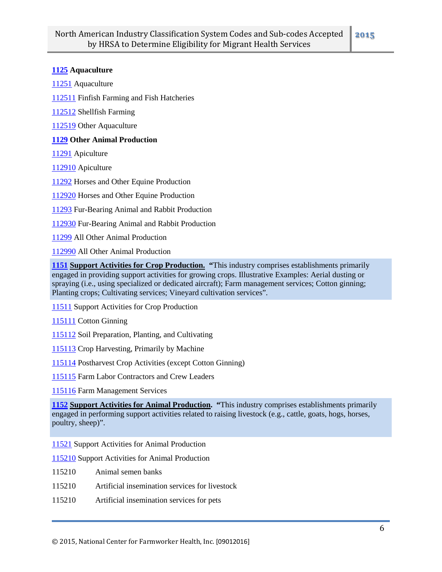### **Aquaculture**

Aquaculture

Finfish Farming and Fish Hatcheries

Shellfish Farming

Other Aquaculture

### **Other Animal Production**

Apiculture

Apiculture

Horses and Other Equine Production

Horses and Other Equine Production

Fur-Bearing Animal and Rabbit Production

Fur-Bearing Animal and Rabbit Production

All Other Animal Production

All Other Animal Production

 **Support Activities for Crop Production. "**This industry comprises establishments primarily engaged in providing support activities for growing crops. Illustrative Examples: Aerial dusting or spraying (i.e., using specialized or dedicated aircraft); Farm management services; Cotton ginning; Planting crops; Cultivating services; Vineyard cultivation services".

Support Activities for Crop Production

Cotton Ginning

Soil Preparation, Planting, and Cultivating

Crop Harvesting, Primarily by Machine

Postharvest Crop Activities (except Cotton Ginning)

Farm Labor Contractors and Crew Leaders

Farm Management Services

 **Support Activities for Animal Production. "**This industry comprises establishments primarily engaged in performing support activities related to raising livestock (e.g., cattle, goats, hogs, horses, poultry, sheep)".

Support Activities for Animal Production

Support Activities for Animal Production

- Animal semen banks
- Artificial insemination services for livestock
- Artificial insemination services for pets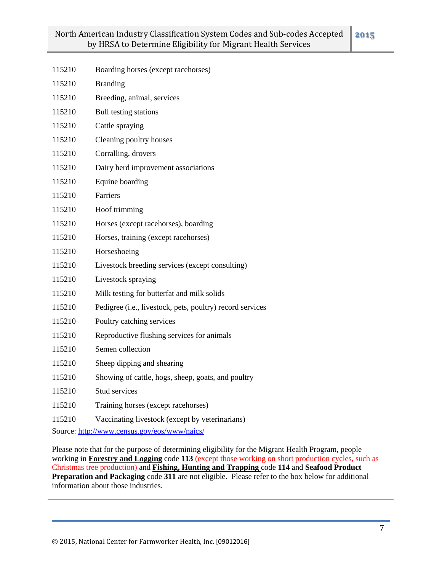| 115210 | Boarding horses (except racehorses)                       |
|--------|-----------------------------------------------------------|
| 115210 | <b>Branding</b>                                           |
| 115210 | Breeding, animal, services                                |
| 115210 | Bull testing stations                                     |
| 115210 | Cattle spraying                                           |
| 115210 | Cleaning poultry houses                                   |
| 115210 | Corralling, drovers                                       |
| 115210 | Dairy herd improvement associations                       |
| 115210 | Equine boarding                                           |
| 115210 | <b>Farriers</b>                                           |
| 115210 | Hoof trimming                                             |
| 115210 | Horses (except racehorses), boarding                      |
| 115210 | Horses, training (except racehorses)                      |
| 115210 | Horseshoeing                                              |
| 115210 | Livestock breeding services (except consulting)           |
| 115210 | Livestock spraying                                        |
| 115210 | Milk testing for butterfat and milk solids                |
| 115210 | Pedigree (i.e., livestock, pets, poultry) record services |
| 115210 | Poultry catching services                                 |
| 115210 | Reproductive flushing services for animals                |
| 115210 | Semen collection                                          |
| 115210 | Sheep dipping and shearing                                |
| 115210 | Showing of cattle, hogs, sheep, goats, and poultry        |
| 115210 | Stud services                                             |
| 115210 | Training horses (except racehorses)                       |
| 115210 | Vaccinating livestock (except by veterinarians)           |
|        |                                                           |

Source:<http://www.census.gov/eos/www/naics/>

Please note that for the purpose of determining eligibility for the Migrant Health Program, people working in **Forestry and Logging** code **113** (except those working on short production cycles, such as Christmas tree production) and **Fishing, Hunting and Trapping** code **114** and **Seafood Product Preparation and Packaging code 311** are not eligible. Please refer to the box below for additional information about those industries.